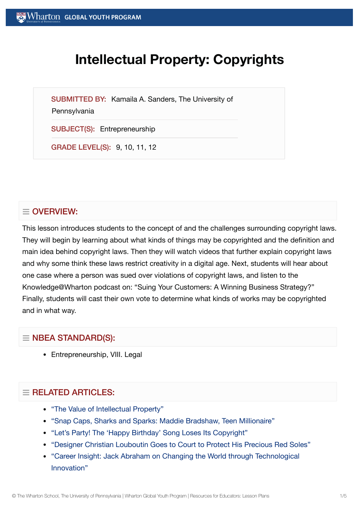# **Intellectual Property: Copyrights**

SUBMITTED BY: Kamaila A. Sanders, The University of

#### **Pennsylvania**

SUBJECT(S): Entrepreneurship

GRADE LEVEL(S): 9, 10, 11, 12

## $\equiv$  OVERVIEW:

This lesson introduces students to the concept of and the challenges surrounding copyright laws. They will begin by learning about what kinds of things may be copyrighted and the definition and main idea behind copyright laws. Then they will watch videos that further explain copyright laws and why some think these laws restrict creativity in a digital age. Next, students will hear about one case where a person was sued over violations of copyright laws, and listen to the Knowledge@Wharton podcast on: "Suing Your Customers: A Winning Business Strategy?" Finally, students will cast their own vote to determine what kinds of works may be copyrighted and in what way.

## $\equiv$  NBEA STANDARD(S):

• Entrepreneurship, VIII. Legal

## $=$  RELATED ARTICLES:

- "The Value of [Intellectual](https://globalyouth.wharton.upenn.edu/articles/the-value-of-intellectual-property/) Property"
- "Snap Caps, [Sharks and](https://globalyouth.wharton.upenn.edu/articles/snap-caps-sharks-and-sparks-maddie-bradshaw-teen-millionaire/) Sparks: Maddie Bradshaw, Teen Millionaire"
- "Let's Party! The 'Happy Birthday' Song [Loses Its Copyright"](https://globalyouth.wharton.upenn.edu/articles/the-happy-birthday-song-loses-its-copyright/)
- "Designer Christian Louboutin Goes to Court to Protect [His Precious Red](https://globalyouth.wharton.upenn.edu/articles/designer-christian-louboutin-goes-court-protect-precious-red-soles/) Soles"
- "Career Insight: Jack Abraham on Changing the World through [Technological](https://globalyouth.wharton.upenn.edu/articles/jack-abraham-on-technological-innovation/) Innovation"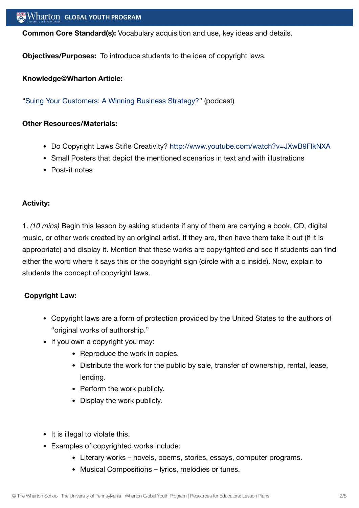**Common Core Standard(s):** Vocabulary acquisition and use, key ideas and details.

**Objectives/Purposes:** To introduce students to the idea of copyright laws.

#### **Knowledge@Wharton Article:**

"Suing Your Customers: A Winning [Business Strategy?](http://knowledge.wharton.upenn.edu/article.cfm?articleid=863)" (podcast)

#### **Other Resources/Materials:**

- Do Copyright Laws Stifle Creativity? <http://www.youtube.com/watch?v=JXwB9FlkNXA>
- Small Posters that depict the mentioned scenarios in text and with illustrations
- Post-it notes

#### **Activity:**

1. *(10 mins)* Begin this lesson by asking students if any of them are carrying a book, CD, digital music, or other work created by an original artist. If they are, then have them take it out (if it is appropriate) and display it. Mention that these works are copyrighted and see if students can find either the word where it says this or the copyright sign (circle with a c inside). Now, explain to students the concept of copyright laws.

#### **Copyright Law:**

- Copyright laws are a form of protection provided by the United States to the authors of "original works of authorship."
- If you own a copyright you may:
	- Reproduce the work in copies.
	- Distribute the work for the public by sale, transfer of ownership, rental, lease, lending.
	- Perform the work publicly.
	- Display the work publicly.
- It is illegal to violate this.
- Examples of copyrighted works include:
	- Literary works novels, poems, stories, essays, computer programs.
	- Musical Compositions lyrics, melodies or tunes.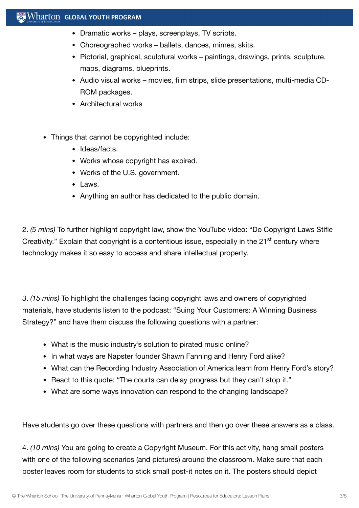## $\mathbb{R}$  Wharton Global youth program

- Dramatic works plays, screenplays, TV scripts.
- Choreographed works ballets, dances, mimes, skits.
- Pictorial, graphical, sculptural works paintings, drawings, prints, sculpture, maps, diagrams, blueprints.
- Audio visual works movies, film strips, slide presentations, multi-media CD-ROM packages.
- Architectural works
- Things that cannot be copyrighted include:
	- Ideas/facts.
	- Works whose copyright has expired.
	- Works of the U.S. government.
	- Laws.
	- Anything an author has dedicated to the public domain.

2. *(5 mins)* To further highlight copyright law, show the YouTube video: "Do Copyright Laws Stifle Creativity." Explain that copyright is a contentious issue, especially in the 21<sup>st</sup> century where technology makes it so easy to access and share intellectual property.

3. *(15 mins)* To highlight the challenges facing copyright laws and owners of copyrighted materials, have students listen to the podcast: "Suing Your Customers: A Winning Business Strategy?" and have them discuss the following questions with a partner:

- What is the music industry's solution to pirated music online?
- In what ways are Napster founder Shawn Fanning and Henry Ford alike?
- What can the Recording Industry Association of America learn from Henry Ford's story?
- React to this quote: "The courts can delay progress but they can't stop it."
- What are some ways innovation can respond to the changing landscape?

Have students go over these questions with partners and then go over these answers as a class.

4. *(10 mins)* You are going to create a Copyright Museum. For this activity, hang small posters with one of the following scenarios (and pictures) around the classroom. Make sure that each poster leaves room for students to stick small post-it notes on it. The posters should depict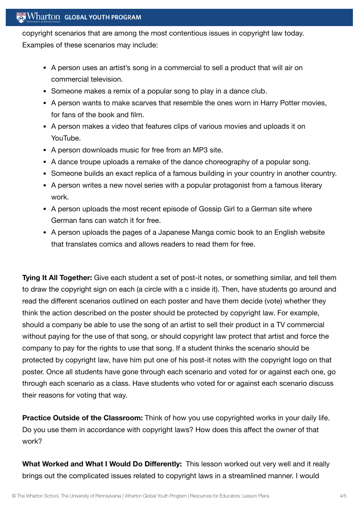## $\mathbb{R}$  Wharton Global Youth Program

copyright scenarios that are among the most contentious issues in copyright law today. Examples of these scenarios may include:

- A person uses an artist's song in a commercial to sell a product that will air on commercial television.
- Someone makes a remix of a popular song to play in a dance club.
- A person wants to make scarves that resemble the ones worn in Harry Potter movies, for fans of the book and film.
- A person makes a video that features clips of various movies and uploads it on YouTube.
- A person downloads music for free from an MP3 site.
- A dance troupe uploads a remake of the dance choreography of a popular song.
- Someone builds an exact replica of a famous building in your country in another country.
- A person writes a new novel series with a popular protagonist from a famous literary work.
- A person uploads the most recent episode of Gossip Girl to a German site where German fans can watch it for free.
- A person uploads the pages of a Japanese Manga comic book to an English website that translates comics and allows readers to read them for free.

**Tying It All Together:** Give each student a set of post-it notes, or something similar, and tell them to draw the copyright sign on each (a circle with a c inside it). Then, have students go around and read the different scenarios outlined on each poster and have them decide (vote) whether they think the action described on the poster should be protected by copyright law. For example, should a company be able to use the song of an artist to sell their product in a TV commercial without paying for the use of that song, or should copyright law protect that artist and force the company to pay for the rights to use that song. If a student thinks the scenario should be protected by copyright law, have him put one of his post-it notes with the copyright logo on that poster. Once all students have gone through each scenario and voted for or against each one, go through each scenario as a class. Have students who voted for or against each scenario discuss their reasons for voting that way.

**Practice Outside of the Classroom:** Think of how you use copyrighted works in your daily life. Do you use them in accordance with copyright laws? How does this affect the owner of that work?

**What Worked and What I Would Do Differently:** This lesson worked out very well and it really brings out the complicated issues related to copyright laws in a streamlined manner. I would